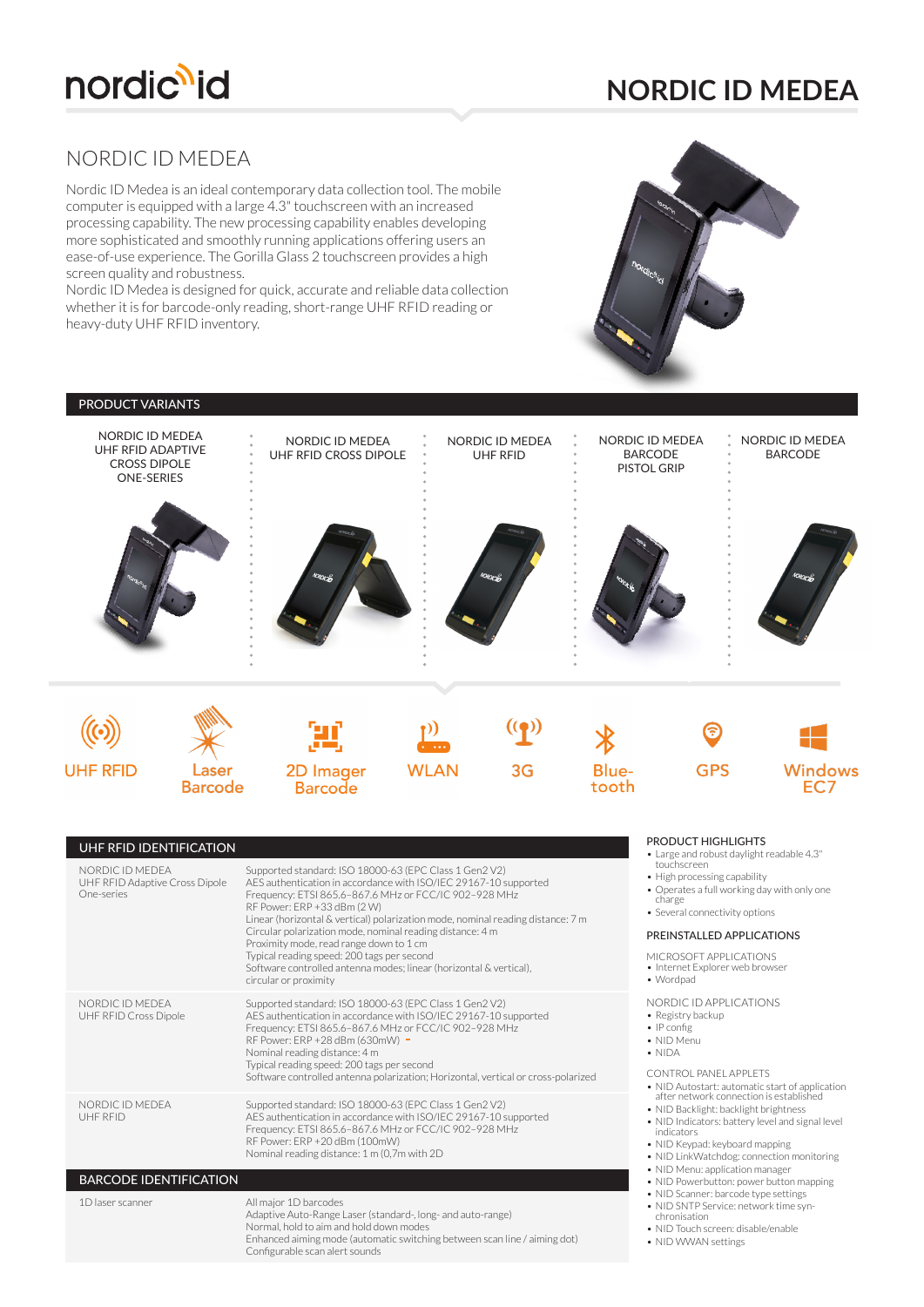

# **NORDIC ID MEDEA**

# NORDIC ID MEDEA

Nordic ID Medea is an ideal contemporary data collection tool. The mobile computer is equipped with a large 4.3" touchscreen with an increased processing capability. The new processing capability enables developing more sophisticated and smoothly running applications offering users an ease-of-use experience. The Gorilla Glass 2 touchscreen provides a high screen quality and robustness.

Nordic ID Medea is designed for quick, accurate and reliable data collection whether it is for barcode-only reading, short-range UHF RFID reading or heavy-duty UHF RFID inventory.

> RF Power: ERP +20 dBm (100mW) Nominal reading distance: 1 m (0,7m with 2D

Normal, hold to aim and hold down modes

Adaptive Auto-Range Laser (standard-, long- and auto-range)

Enhanced aiming mode (automatic switching between scan line / aiming dot)

All major 1D barcodes

Configurable scan alert sounds

UHF RFID

1D laser scanner

BARCODE IDENTIFICATION



#### PRODUCT VARIANTS NORDIC ID MEDEA NORDIC ID MEDEA NORDIC ID MEDEA NORDIC ID MEDEA NORDIC ID MEDEA UHF RFID ADAPTIVE BARCODE BARCODE UHF RFID CROSS DIPOLE UHF RFID CROSS DIPOLE PISTOL GRIP ONE-SERIES 2D Imager **UHF RFID** Lasei **WLAN**  $3G$ Blue-**GPS Windows** tooth **Barcode Barcode** PRODUCT HIGHLIGHTS UHF RFID IDENTIFICATION • Large and robust daylight readable 4.3" touchscreen NORDIC ID MEDEA Supported standard: ISO 18000-63 (EPC Class 1 Gen2 V2) • High processing capability UHF RFID Adaptive Cross Dipole AES authentication in accordance with ISO/IEC 29167-10 supported Frequency: ETSI 865.6–867.6 MHz or FCC/IC 902–928 MHz • Operates a full working day with only one One-series charge RF Power: ERP +33 dBm (2 W) • Several connectivity options Linear (horizontal & vertical) polarization mode, nominal reading distance: 7 m Circular polarization mode, nominal reading distance: 4 m PREINSTALLED APPLICATIONS Proximity mode, read range down to 1 cm MICROSOFT APPLICATIONS Typical reading speed: 200 tags per second Software controlled antenna modes; linear (horizontal & vertical), • Internet Explorer web browser • Wordpad circular or proximity NORDIC ID MEDEA NORDIC ID APPLICATIONS Supported standard: ISO 18000-63 (EPC Class 1 Gen2 V2) AES authentication in accordance with ISO/IEC 29167-10 supported • Registry backup UHF RFID Cross Dipole Frequency: ETSI 865.6–867.6 MHz or FCC/IC 902–928 MHz • IP config RF Power: ERP +28 dBm (630mW) • NID Menu Nominal reading distance: 4 m • NIDA Typical reading speed: 200 tags per second Software controlled antenna polarization; Horizontal, vertical or cross-polarized CONTROL PANEL APPLETS • NID Autostart: automatic start of application after network connection is established NORDIC ID MEDEA Supported standard: ISO 18000-63 (EPC Class 1 Gen2 V2) AES authentication in accordance with ISO/IEC 29167-10 supported Frequency: ETSI 865.6–867.6 MHz or FCC/IC 902–928 MHz

- NID Backlight: backlight brightness • NID Indicators: battery level and signal level
- indicators • NID Keypad: keyboard mapping
- 
- NID LinkWatchdog: connection monitoring • NID Menu: application manager
- NID Powerbutton: power button mapping
- NID Scanner: barcode type settings
- NID SNTP Service: network time synchronisation
- NID Touch screen: disable/enable
- NID WWAN settings